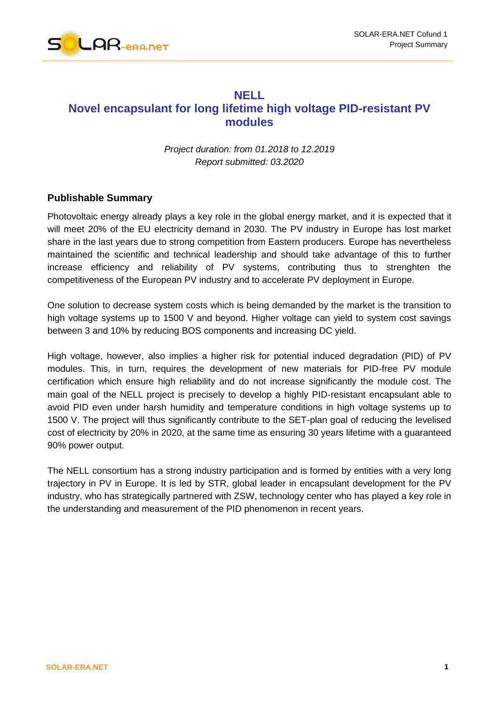

### **NELL**

# **Novel encapsulant for long lifetime high voltage PID-resistant PV modules**

*Project duration: from 01.2018 to 12.2019 Report submitted: 03.2020*

#### **Publishable Summary**

Photovoltaic energy already plays a key role in the global energy market, and it is expected that it will meet 20% of the EU electricity demand in 2030. The PV industry in Europe has lost market share in the last years due to strong competition from Eastern producers. Europe has nevertheless maintained the scientific and technical leadership and should take advantage of this to further increase efficiency and reliability of PV systems, contributing thus to strenghten the competitiveness of the European PV industry and to accelerate PV deployment in Europe.

One solution to decrease system costs which is being demanded by the market is the transition to high voltage systems up to 1500 V and beyond. Higher voltage can yield to system cost savings between 3 and 10% by reducing BOS components and increasing DC yield.

High voltage, however, also implies a higher risk for potential induced degradation (PID) of PV modules. This, in turn, requires the development of new materials for PID-free PV module certification which ensure high reliability and do not increase significantly the module cost. The main goal of the NELL project is precisely to develop a highly PID-resistant encapsulant able to avoid PID even under harsh humidity and temperature conditions in high voltage systems up to 1500 V. The project will thus significantly contribute to the SET-plan goal of reducing the levelised cost of electricity by 20% in 2020, at the same time as ensuring 30 years lifetime with a guaranteed 90% power output.

The NELL consortium has a strong industry participation and is formed by entities with a very long trajectory in PV in Europe. It is led by STR, global leader in encapsulant development for the PV industry, who has strategically partnered with ZSW, technology center who has played a key role in the understanding and measurement of the PID phenomenon in recent years.